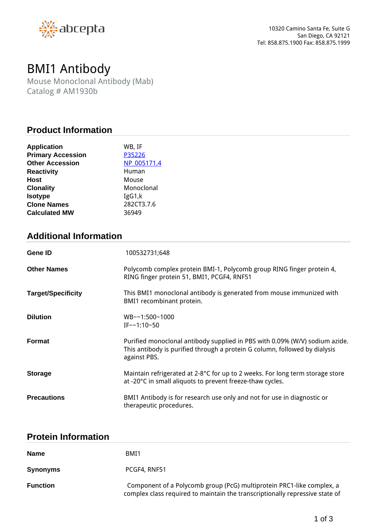

# *BMI1 Antibody*

*Mouse Monoclonal Antibody (Mab) Catalog # AM1930b*

### **Product Information**

| <b>Application</b>       | WB, IF      |
|--------------------------|-------------|
| <b>Primary Accession</b> | P35226      |
| <b>Other Accession</b>   | NP 005171.4 |
| <b>Reactivity</b>        | Human       |
| Host                     | Mouse       |
| <b>Clonality</b>         | Monoclonal  |
| <b>Isotype</b>           | IgG1,k      |
| <b>Clone Names</b>       | 282CT3.7.6  |
| <b>Calculated MW</b>     | 36949       |

## **Additional Information**

| <b>Gene ID</b>            | 100532731;648                                                                                                                                                             |
|---------------------------|---------------------------------------------------------------------------------------------------------------------------------------------------------------------------|
| <b>Other Names</b>        | Polycomb complex protein BMI-1, Polycomb group RING finger protein 4,<br>RING finger protein 51, BMI1, PCGF4, RNF51                                                       |
| <b>Target/Specificity</b> | This BMI1 monoclonal antibody is generated from mouse immunized with<br>BMI1 recombinant protein.                                                                         |
| <b>Dilution</b>           | WB~~1:500~1000<br>$IF \sim 1:10 \sim 50$                                                                                                                                  |
| Format                    | Purified monoclonal antibody supplied in PBS with 0.09% (W/V) sodium azide.<br>This antibody is purified through a protein G column, followed by dialysis<br>against PBS. |
| <b>Storage</b>            | Maintain refrigerated at 2-8°C for up to 2 weeks. For long term storage store<br>at -20°C in small aliquots to prevent freeze-thaw cycles.                                |
| <b>Precautions</b>        | BMI1 Antibody is for research use only and not for use in diagnostic or<br>therapeutic procedures.                                                                        |

### **Protein Information**

| <b>Name</b>     | BMI1                                                                                                                                                  |
|-----------------|-------------------------------------------------------------------------------------------------------------------------------------------------------|
| <b>Synonyms</b> | PCGF4, RNF51                                                                                                                                          |
| <b>Function</b> | Component of a Polycomb group (PcG) multiprotein PRC1-like complex, a<br>complex class required to maintain the transcriptionally repressive state of |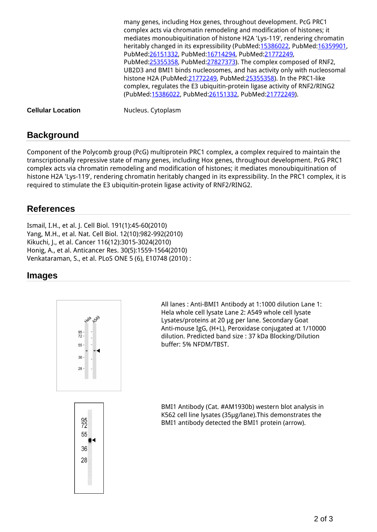*many genes, including Hox genes, throughout development. PcG PRC1 complex acts via chromatin remodeling and modification of histones; it mediates monoubiquitination of histone H2A 'Lys-119', rendering chromatin heritably changed in its expressibility (PubMed[:15386022](http://www.uniprot.org/citations/15386022), PubMed[:16359901,](http://www.uniprot.org/citations/16359901) PubMed[:26151332](http://www.uniprot.org/citations/26151332), PubMed[:16714294,](http://www.uniprot.org/citations/16714294) PubMed:[21772249,](http://www.uniprot.org/citations/21772249) PubMed[:25355358](http://www.uniprot.org/citations/25355358), PubMed[:27827373\)](http://www.uniprot.org/citations/27827373). The complex composed of RNF2, UB2D3 and BMI1 binds nucleosomes, and has activity only with nucleosomal histone H2A (PubMed:[21772249](http://www.uniprot.org/citations/21772249), PubMed[:25355358](http://www.uniprot.org/citations/25355358)). In the PRC1-like complex, regulates the E3 ubiquitin-protein ligase activity of RNF2/RING2 (PubMed[:15386022](http://www.uniprot.org/citations/15386022), PubMed[:26151332](http://www.uniprot.org/citations/26151332), PubMed[:21772249\)](http://www.uniprot.org/citations/21772249).*

**Cellular Location** *Nucleus. Cytoplasm*

### **Background**

*Component of the Polycomb group (PcG) multiprotein PRC1 complex, a complex required to maintain the transcriptionally repressive state of many genes, including Hox genes, throughout development. PcG PRC1 complex acts via chromatin remodeling and modification of histones; it mediates monoubiquitination of histone H2A 'Lys-119', rendering chromatin heritably changed in its expressibility. In the PRC1 complex, it is required to stimulate the E3 ubiquitin-protein ligase activity of RNF2/RING2.*

### **References**

*Ismail, I.H., et al. J. Cell Biol. 191(1):45-60(2010) Yang, M.H., et al. Nat. Cell Biol. 12(10):982-992(2010) Kikuchi, J., et al. Cancer 116(12):3015-3024(2010) Honig, A., et al. Anticancer Res. 30(5):1559-1564(2010) Venkataraman, S., et al. PLoS ONE 5 (6), E10748 (2010) :*

### **Images**



*All lanes : Anti-BMI1 Antibody at 1:1000 dilution Lane 1: Hela whole cell lysate Lane 2: A549 whole cell lysate Lysates/proteins at 20 μg per lane. Secondary Goat Anti-mouse IgG, (H+L), Peroxidase conjugated at 1/10000 dilution. Predicted band size : 37 kDa Blocking/Dilution buffer: 5% NFDM/TBST.*



*BMI1 Antibody (Cat. #AM1930b) western blot analysis in K562 cell line lysates (35μg/lane).This demonstrates the BMI1 antibody detected the BMI1 protein (arrow).*